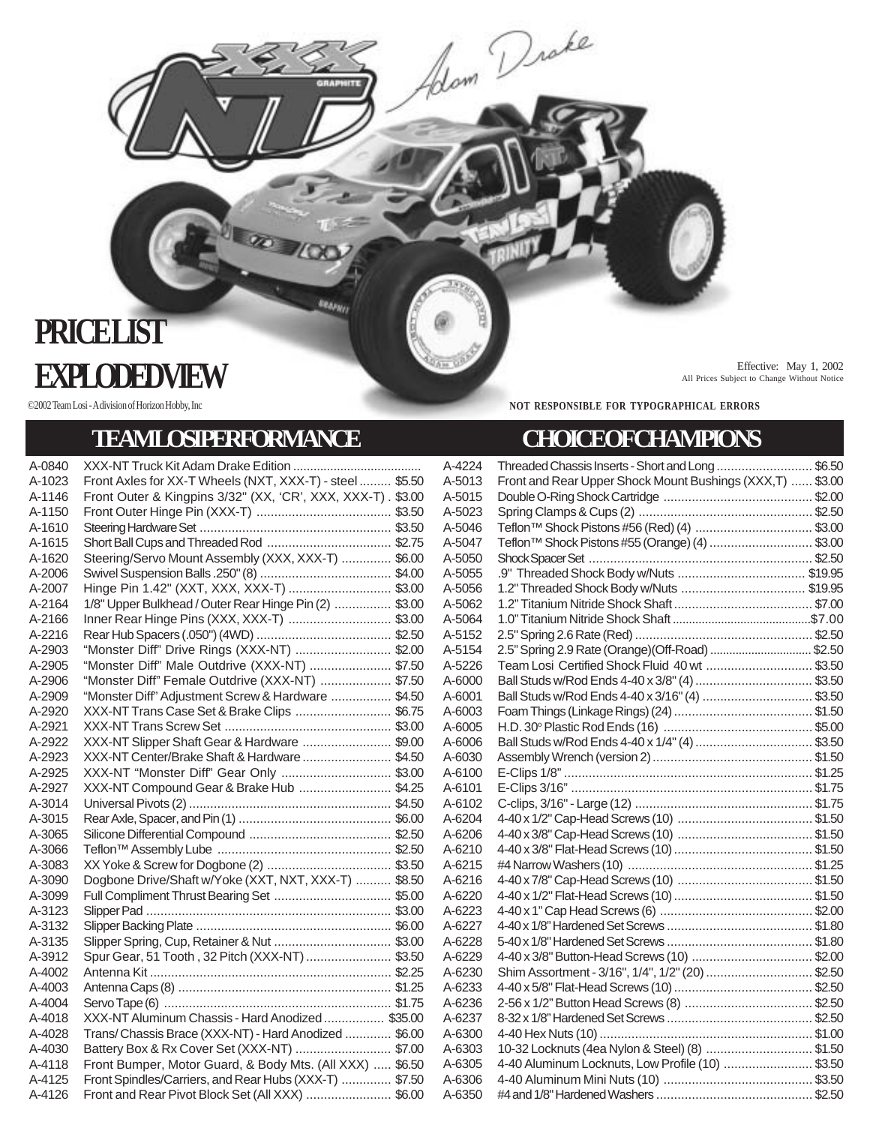## **PRICE LIST Effective:** May 1, 2002<br>All Prices Subject to Change Without Notice

## **TEAMLOSIPERFORMANCE CHOICEOFCHAMPIONS**

**Reasy** 

A-0840 XXX-NT Truck Kit Adam Drake Edition ...................................... A-1023 Front Axles for XX-T Wheels (NXT, XXX-T) - steel ......... \$5.50 A-1146 Front Outer & Kingpins 3/32" (XX, 'CR', XXX, XXX-T) . \$3.00 A-1150 Front Outer Hinge Pin (XXX-T) ...................................... \$3.50 A-1610 Steering Hardware Set ...................................................... \$3.50 A-1615 Short Ball Cups and Threaded Rod ................................... \$2.75 A-1620 Steering/Servo Mount Assembly (XXX, XXX-T) .............. \$6.00 A-2006 Swivel Suspension Balls .250" (8) ..................................... \$4.00 A-2007 Hinge Pin 1.42" (XXT, XXX, XXX-T) ............................. \$3.00 A-2164 1/8" Upper Bulkhead / Outer Rear Hinge Pin (2) ................ \$3.00 A-2166 Inner Rear Hinge Pins (XXX, XXX-T) .................................. \$3.00 A-2216 Rear Hub Spacers (.050") (4WD) ...................................... \$2.50 A-2903 "Monster Diff" Drive Rings (XXX-NT) ........................... \$2.00 A-2905 "Monster Diff" Male Outdrive (XXX-NT) ....................... \$7.50<br>A-2906 "Monster Diff" Female Outdrive (XXX-NT) .................... \$7.50 "Monster Diff" Female Outdrive (XXX-NT) .................... \$7.50 A-2909 "Monster Diff" Adjustment Screw & Hardware ................. \$4.50 XXX-NT Trans Case Set & Brake Clips ................................ \$6.75 A-2921 XXX-NT Trans Screw Set ............................................... \$3.00 XXX-NT Slipper Shaft Gear & Hardware ............................... \$9.00 A-2923 XXX-NT Center/Brake Shaft & Hardware......................... \$4.50 A-2925 XXX-NT "Monster Diff" Gear Only ............................... \$3.00 A-2927 XXX-NT Compound Gear & Brake Hub .......................... \$4.25 A-3014 Universal Pivots (2)......................................................... \$4.50 A-3015 Rear Axle, Spacer, and Pin (1) ........................................... \$6.00 A-3065 Silicone Differential Compound ........................................ \$2.50 A-3066 Teflon™ Assembly Lube ................................................. \$2.50 A-3083 XX Yoke & Screw for Dogbone (2) ................................... \$3.50 A-3090 Dogbone Drive/Shaft w/Yoke (XXT, NXT, XXX-T) .......... \$8.50 A-3099 Full Compliment Thrust Bearing Set ................................. \$5.00 A-3123 Slipper Pad ..................................................................... \$3.00 A-3132 Slipper Backing Plate ....................................................... \$6.00 A-3135 Slipper Spring, Cup, Retainer & Nut ................................. \$3.00 A-3912 Spur Gear, 51 Tooth , 32 Pitch (XXX-NT)........................ \$3.50 A-4002 Antenna Kit .................................................................... \$2.25 A-4003 Antenna Caps (8) ............................................................ \$1.25 A-4004 Servo Tape (6) ................................................................ \$1.75 A-4018 XXX-NT Aluminum Chassis - Hard Anodized................. \$35.00 A-4028 Trans/ Chassis Brace (XXX-NT) - Hard Anodized ............. \$6.00 A-4030 Battery Box & Rx Cover Set (XXX-NT) ........................... \$7.00 A-4118 Front Bumper, Motor Guard, & Body Mts. (All XXX) ..... \$6.50 A-4125 Front Spindles/Carriers, and Rear Hubs (XXX-T) .............. \$7.50

A-4126 Front and Rear Pivot Block Set (All XXX) ............................. \$6.00

All Prices Subject to Change Without Notice

©2002 Team Losi - A division of Horizon Hobby, Inc **NOT RESPONSIBLE FOR TYPOGRAPHICAL ERRORS** 

Adam Drake

| A-4224     | Threaded Chassis Inserts - Short and Long  \$6.50         |  |
|------------|-----------------------------------------------------------|--|
| A-5013     | Front and Rear Upper Shock Mount Bushings (XXX,T)  \$3.00 |  |
| A-5015     |                                                           |  |
| A-5023     |                                                           |  |
| A-5046     |                                                           |  |
| A-5047     | Teflon <sup>™</sup> Shock Pistons #55 (Orange) (4) \$3.00 |  |
| A-5050     |                                                           |  |
| A-5055     |                                                           |  |
| A-5056     |                                                           |  |
| A-5062     |                                                           |  |
| A-5064     |                                                           |  |
| A-5152     |                                                           |  |
| A-5154     | 2.5" Spring 2.9 Rate (Orange) (Off-Road)  \$2.50          |  |
| A-5226     | Team Losi Certified Shock Fluid 40 wt  \$3.50             |  |
| A-6000     |                                                           |  |
| A-6001     | Ball Studs w/Rod Ends 4-40 x 3/16" (4)  \$3.50            |  |
| A-6003     |                                                           |  |
| A-6005     |                                                           |  |
| A-6006     |                                                           |  |
| A-6030     |                                                           |  |
| A-6100     |                                                           |  |
| A-6101     |                                                           |  |
| A-6102     |                                                           |  |
| A-6204     |                                                           |  |
| A-6206     |                                                           |  |
| A-6210     |                                                           |  |
| A-6215     |                                                           |  |
| A-6216     |                                                           |  |
| A-6220     |                                                           |  |
| A-6223     |                                                           |  |
| A-6227     |                                                           |  |
| A-6228     |                                                           |  |
| A-6229     | 4-40 x 3/8" Button-Head Screws (10) \$2.00                |  |
| A-6230     | Shim Assortment - 3/16", 1/4", 1/2" (20) \$2.50           |  |
| A-6233     |                                                           |  |
| A-6236     |                                                           |  |
| A-6237     |                                                           |  |
| A-6300     |                                                           |  |
| A-6303     | 10-32 Locknuts (4ea Nylon & Steel) (8)  \$1.50            |  |
| A-6305     | 4-40 Aluminum Locknuts, Low Profile (10)  \$3.50          |  |
| A-6306     |                                                           |  |
| $A - 6350$ |                                                           |  |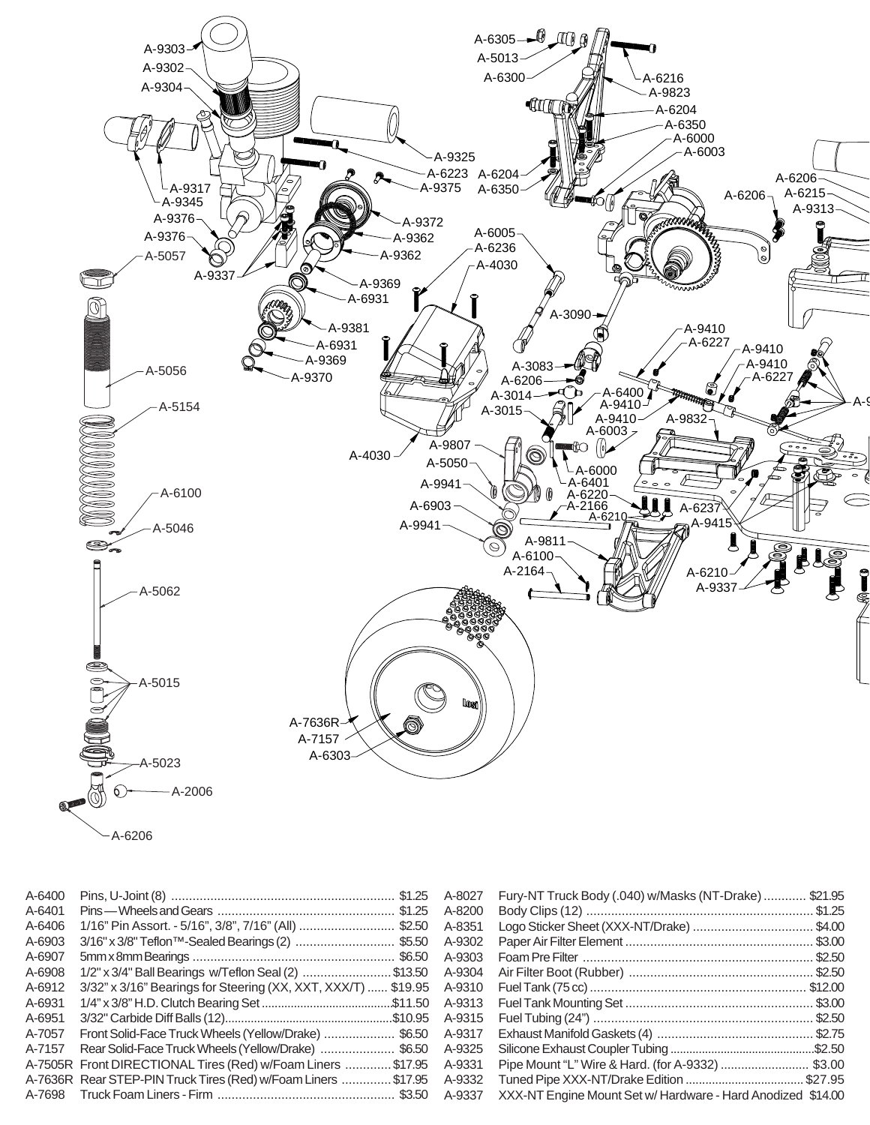

| A-6400 |                                                                      |        | Fury-NT Truck Body (.040) w/Masks (NT-Drake)  \$21.95       |
|--------|----------------------------------------------------------------------|--------|-------------------------------------------------------------|
| A-6401 |                                                                      | A-8200 |                                                             |
| A-6406 | 1/16" Pin Assort. - 5/16", 3/8", 7/16" (All) \$2.50 A-8351           |        |                                                             |
| A-6903 | 3/16" x 3/8" Teflon™-Sealed Bearings (2) \$5.50 A-9302               |        |                                                             |
| A-6907 |                                                                      |        |                                                             |
| A-6908 |                                                                      |        |                                                             |
| A-6912 |                                                                      |        |                                                             |
| A-6931 |                                                                      |        |                                                             |
| A-6951 |                                                                      |        |                                                             |
| A-7057 | Front Solid-Face Truck Wheels (Yellow/Drake)  \$6.50 A-9317          |        |                                                             |
| A-7157 | Rear Solid-Face Truck Wheels (Yellow/Drake) \$6.50 A-9325            |        |                                                             |
|        | A-7505R Front DIRECTIONAL Tires (Red) w/Foam Liners \$17.95 A-9331   |        | Pipe Mount "L" Wire & Hard. (for A-9332)  \$3.00            |
|        | A-7636R Rear STEP-PIN Truck Tires (Red) w/Foam Liners \$17.95 A-9332 |        |                                                             |
|        |                                                                      |        | XXX-NT Engine Mount Set w/ Hardware - Hard Anodized \$14.00 |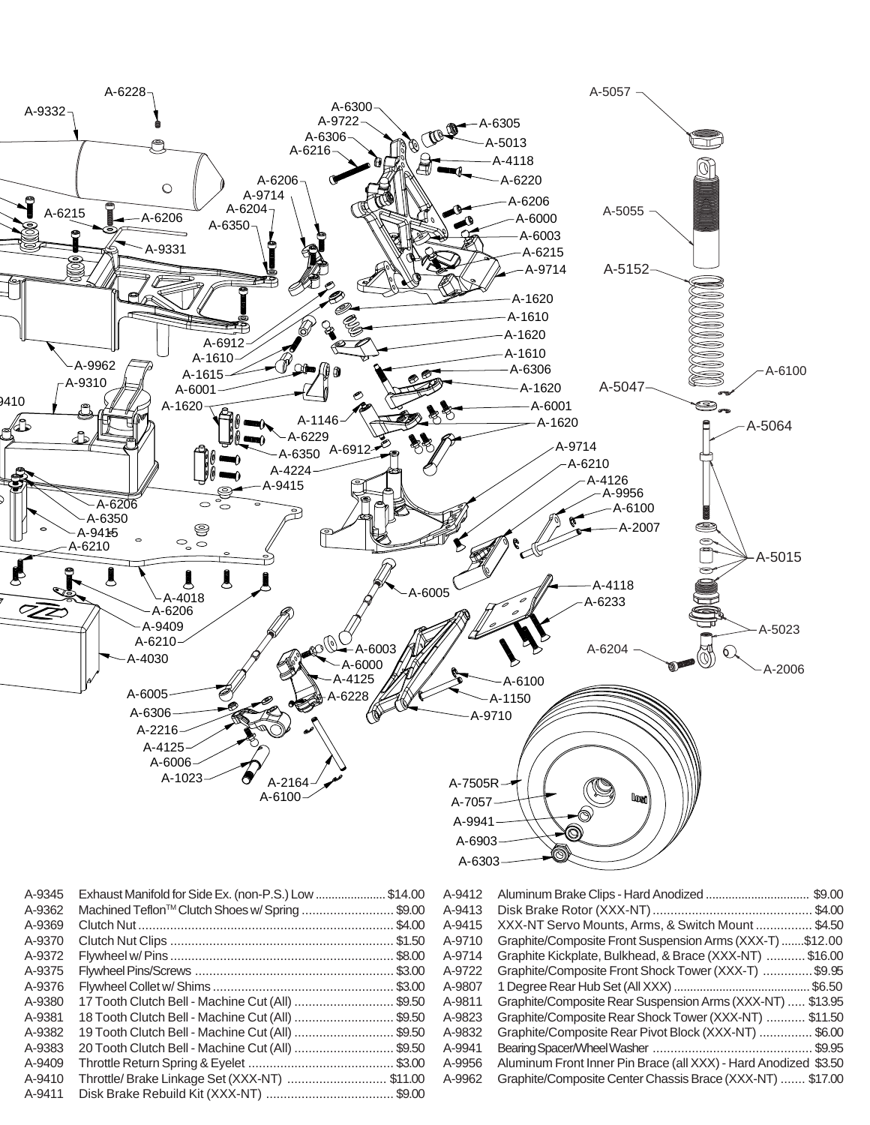

| A-9376 |                                                  |  |
|--------|--------------------------------------------------|--|
| A-9380 | 17 Tooth Clutch Bell - Machine Cut (All) \$9.50  |  |
| A-9381 | 18 Tooth Clutch Bell - Machine Cut (All) \$9.50  |  |
| A-9382 | 19 Tooth Clutch Bell - Machine Cut (All) \$9.50  |  |
| A-9383 | 20 Tooth Clutch Bell - Machine Cut (All)  \$9.50 |  |
| A-9409 |                                                  |  |
| A-9410 | Throttle/ Brake Linkage Set (XXX-NT)  \$11.00    |  |
| A-9411 |                                                  |  |

| A-9415 | XXX-N L Servo Mounts, Arms, & Switch Mount  \$4.50              |
|--------|-----------------------------------------------------------------|
| A-9710 | Graphite/Composite Front Suspension Arms (XXX-T) \$12.00        |
| A-9714 | Graphite Kickplate, Bulkhead, & Brace (XXX-NT)  \$16.00         |
| A-9722 | Graphite/Composite Front Shock Tower (XXX-T) \$9.95             |
| A-9807 |                                                                 |
| A-9811 | Graphite/Composite Rear Suspension Arms (XXX-NT)  \$13.95       |
| A-9823 | Graphite/Composite Rear Shock Tower (XXX-NT)  \$11.50           |
| A-9832 | Graphite/Composite Rear Pivot Block (XXX-NT)  \$6.00            |
| A-9941 |                                                                 |
| A-9956 | Aluminum Front Inner Pin Brace (all XXX) - Hard Anodized \$3.50 |
| A-9962 | Graphite/Composite Center Chassis Brace (XXX-NT)  \$17.00       |
|        |                                                                 |